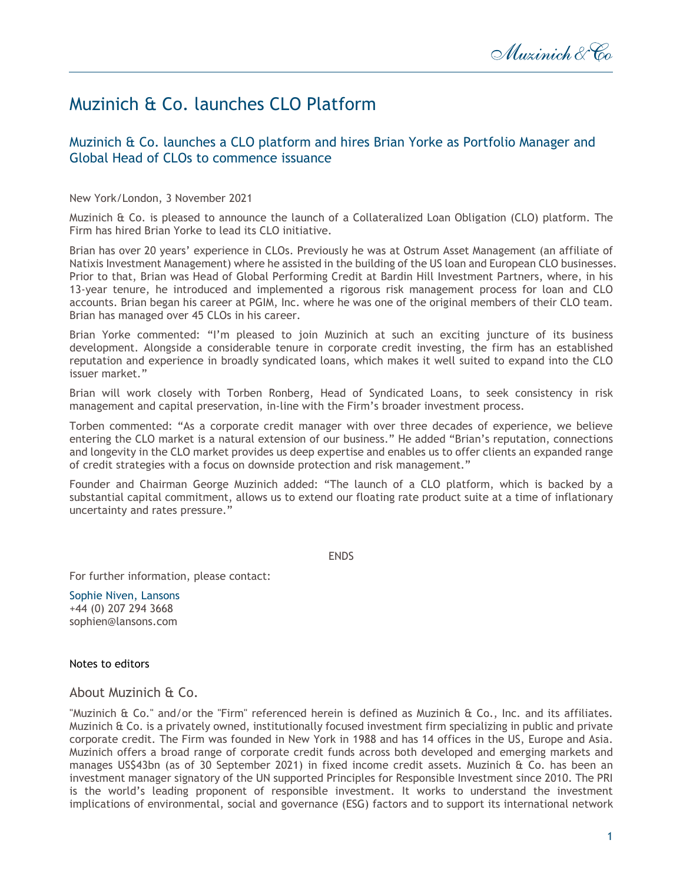## Muzinich & Co. launches CLO Platform

## Muzinich & Co. launches a CLO platform and hires Brian Yorke as Portfolio Manager and Global Head of CLOs to commence issuance

New York/London, 3 November 2021

Muzinich & Co. is pleased to announce the launch of a Collateralized Loan Obligation (CLO) platform. The Firm has hired Brian Yorke to lead its CLO initiative.

Brian has over 20 years' experience in CLOs. Previously he was at Ostrum Asset Management (an affiliate of Natixis Investment Management) where he assisted in the building of the US loan and European CLO businesses. Prior to that, Brian was Head of Global Performing Credit at Bardin Hill Investment Partners, where, in his 13-year tenure, he introduced and implemented a rigorous risk management process for loan and CLO accounts. Brian began his career at PGIM, Inc. where he was one of the original members of their CLO team. Brian has managed over 45 CLOs in his career.

Brian Yorke commented: "I'm pleased to join Muzinich at such an exciting juncture of its business development. Alongside a considerable tenure in corporate credit investing, the firm has an established reputation and experience in broadly syndicated loans, which makes it well suited to expand into the CLO issuer market."

Brian will work closely with Torben Ronberg, Head of Syndicated Loans, to seek consistency in risk management and capital preservation, in-line with the Firm's broader investment process.

Torben commented: "As a corporate credit manager with over three decades of experience, we believe entering the CLO market is a natural extension of our business." He added "Brian's reputation, connections and longevity in the CLO market provides us deep expertise and enables us to offer clients an expanded range of credit strategies with a focus on downside protection and risk management."

Founder and Chairman George Muzinich added: "The launch of a CLO platform, which is backed by a substantial capital commitment, allows us to extend our floating rate product suite at a time of inflationary uncertainty and rates pressure."

ENDS

For further information, please contact:

Sophie Niven, Lansons +44 (0) 207 294 3668 sophien@lansons.com

## Notes to editors

About Muzinich & Co.

"Muzinich & Co." and/or the "Firm" referenced herein is defined as Muzinich & Co., Inc. and its affiliates. Muzinich & Co. is a privately owned, institutionally focused investment firm specializing in public and private corporate credit. The Firm was founded in New York in 1988 and has 14 offices in the US, Europe and Asia. Muzinich offers a broad range of corporate credit funds across both developed and emerging markets and manages US\$43bn (as of 30 September 2021) in fixed income credit assets. Muzinich & Co. has been an investment manager signatory of the UN supported Principles for Responsible Investment since 2010. The PRI is the world's leading proponent of responsible investment. It works to understand the investment implications of environmental, social and governance (ESG) factors and to support its international network